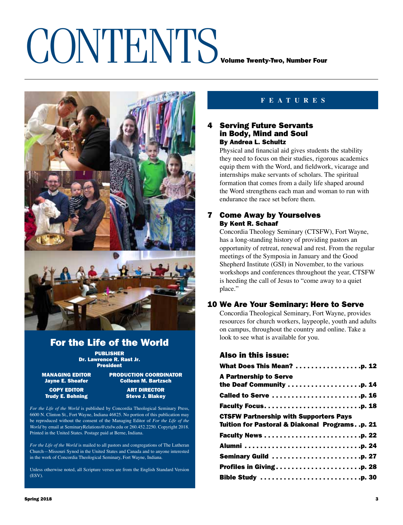### CONTENTS VOLUME TWENTY-TWO, Number Four



### For the Life of the World

PUBLISHER Dr. Lawrence R. Rast Jr. President

MANAGING EDITOR PRODUCTION COORDINATOR<br>Dayne E. Sheafer \_\_\_\_\_\_\_\_\_\_\_Colleen M. Bartzsch **Colleen M. Bartzsch** 

**Trudy E. Behning** 

**COPY** EDITOR **ART DIRECTOR**<br>Fudy E. Behning and Steve J. Blakev

*For the Life of the World* is published by Concordia Theological Seminary Press, 6600 N. Clinton St., Fort Wayne, Indiana 46825. No portion of this publication may be reproduced without the consent of the Managing Editor of *For the Life of the World* by email at SeminaryRelations@ctsfw.edu or 260.452.2250. Copyright 2018. Printed in the United States. Postage paid at Berne, Indiana.

*For the Life of the World* is mailed to all pastors and congregations of The Lutheran Church—Missouri Synod in the United States and Canada and to anyone interested in the work of Concordia Theological Seminary, Fort Wayne, Indiana.

Unless otherwise noted, all Scripture verses are from the English Standard Version (ESV).

### **feature s**

### **Serving Future Servants** in Body, Mind and Soul By Andrea L. Schultz

Physical and financial aid gives students the stability they need to focus on their studies, rigorous academics equip them with the Word, and fieldwork, vicarage and internships make servants of scholars. The spiritual formation that comes from a daily life shaped around the Word strengthens each man and woman to run with endurance the race set before them.

### 7 Come Away by Yourselves By Kent R. Schaaf

Concordia Theology Seminary (CTSFW), Fort Wayne, has a long-standing history of providing pastors an opportunity of retreat, renewal and rest. From the regular meetings of the Symposia in January and the Good Shepherd Institute (GSI) in November, to the various workshops and conferences throughout the year, CTSFW is heeding the call of Jesus to "come away to a quiet place."

### 10 We Are Your Seminary: Here to Serve

Concordia Theological Seminary, Fort Wayne, provides resources for church workers, laypeople, youth and adults on campus, throughout the country and online. Take a look to see what is available for you.

### Also in this issue:

| What Does This Mean? p. 12                    |  |
|-----------------------------------------------|--|
| <b>A Partnership to Serve</b>                 |  |
|                                               |  |
| Called to Serve p. 16                         |  |
|                                               |  |
| <b>CTSFW Partnership with Supporters Pays</b> |  |
| Tuition for Pastoral & Diakonal Programsp. 21 |  |
|                                               |  |
|                                               |  |
| <b>Seminary Guild p. 27</b>                   |  |
| Profiles in Givingp. 28                       |  |
|                                               |  |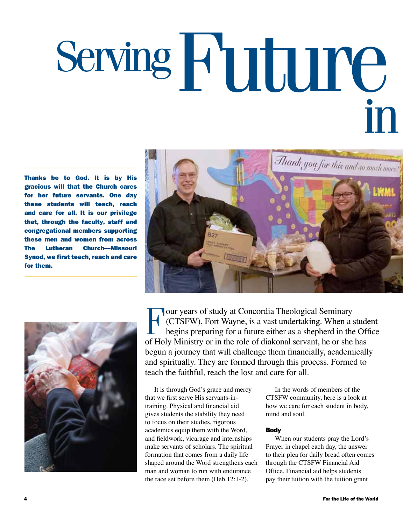## Serving **Future** in

Thanks be to God. It is by His gracious will that the Church cares for her future servants. One day these students will teach, reach and care for all. It is our privilege that, through the faculty, staff and congregational members supporting these men and women from across The Lutheran Church—Missouri Synod, we first teach, reach and care for them.





Four years of study at Concordia Theological Seminary<br>(CTSFW), Fort Wayne, is a vast undertaking. When a s<br>begins preparing for a future either as a shepherd in the<br>of Hely Ministry or in the rele of diskspel servent, he o (CTSFW), Fort Wayne, is a vast undertaking. When a student begins preparing for a future either as a shepherd in the Office of Holy Ministry or in the role of diakonal servant, he or she has begun a journey that will challenge them financially, academically and spiritually. They are formed through this process. Formed to teach the faithful, reach the lost and care for all.

It is through God's grace and mercy that we first serve His servants-intraining. Physical and financial aid gives students the stability they need to focus on their studies, rigorous academics equip them with the Word, and fieldwork, vicarage and internships make servants of scholars. The spiritual formation that comes from a daily life shaped around the Word strengthens each man and woman to run with endurance the race set before them (Heb.12:1-2).

In the words of members of the CTSFW community, here is a look at how we care for each student in body, mind and soul.

### **Body**

When our students pray the Lord's Prayer in chapel each day, the answer to their plea for daily bread often comes through the CTSFW Financial Aid Office. Financial aid helps students pay their tuition with the tuition grant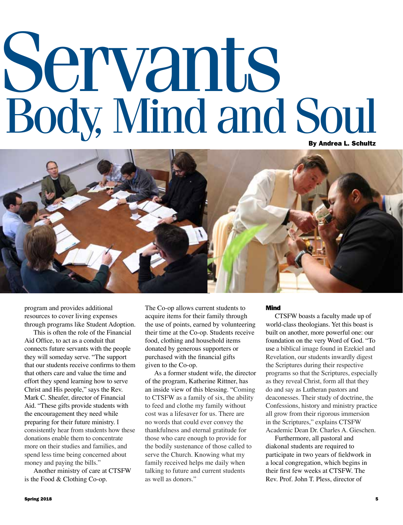# Servants Body, Mind and Soul



program and provides additional resources to cover living expenses through programs like Student Adoption.

This is often the role of the Financial Aid Office, to act as a conduit that connects future servants with the people they will someday serve. "The support that our students receive confirms to them that others care and value the time and effort they spend learning how to serve Christ and His people," says the Rev. Mark C. Sheafer, director of Financial Aid. "These gifts provide students with the encouragement they need while preparing for their future ministry. I consistently hear from students how these donations enable them to concentrate more on their studies and families, and spend less time being concerned about money and paying the bills."

Another ministry of care at CTSFW is the Food & Clothing Co-op.

The Co-op allows current students to acquire items for their family through the use of points, earned by volunteering their time at the Co-op. Students receive food, clothing and household items donated by generous supporters or purchased with the financial gifts given to the Co-op.

As a former student wife, the director of the program, Katherine Rittner, has an inside view of this blessing. "Coming to CTSFW as a family of six, the ability to feed and clothe my family without cost was a lifesaver for us. There are no words that could ever convey the thankfulness and eternal gratitude for those who care enough to provide for the bodily sustenance of those called to serve the Church. Knowing what my family received helps me daily when talking to future and current students as well as donors."

### Mind

CTSFW boasts a faculty made up of world-class theologians. Yet this boast is built on another, more powerful one: our foundation on the very Word of God. "To use a biblical image found in Ezekiel and Revelation, our students inwardly digest the Scriptures during their respective programs so that the Scriptures, especially as they reveal Christ, form all that they do and say as Lutheran pastors and deaconesses. Their study of doctrine, the Confessions, history and ministry practice all grow from their rigorous immersion in the Scriptures," explains CTSFW Academic Dean Dr. Charles A. Gieschen.

Furthermore, all pastoral and diakonal students are required to participate in two years of fieldwork in a local congregation, which begins in their first few weeks at CTSFW. The Rev. Prof. John T. Pless, director of